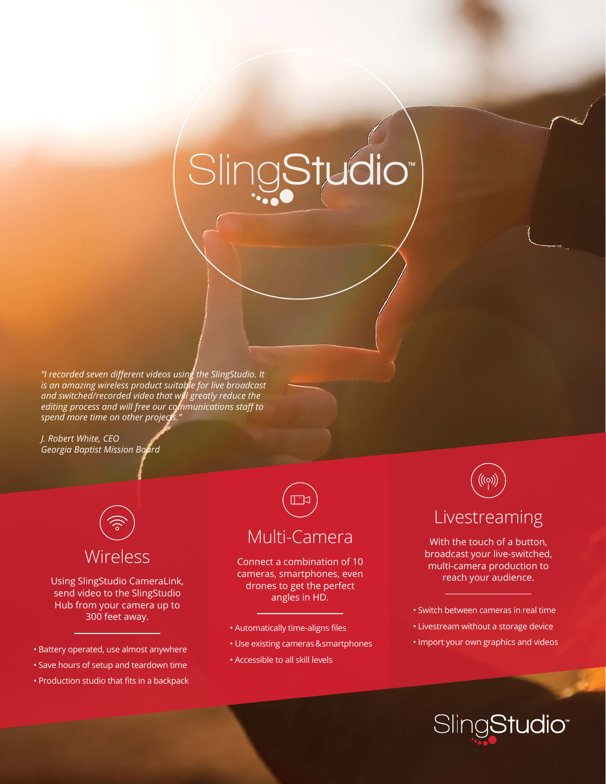# SlingStudio<sup>\*</sup>

*"I recorded seven different videos using the SlingStudio. It is an amazing wireless product suitable for live broadcast and switched/recorded video that will greatly reduce the editing process and will free our communications staff to spend more time on other projects."*

*J. Robert White, CEO Georgia Baptist Mission Board*



Using SlingStudio CameraLink, send video to the SlingStudio Hub from your camera up to 300 feet away.

- Battery operated, use almost anywhere
- Save hours of setup and teardown time
- Production studio that fits in a backpack

## Multi-Camera

Connect a combination of 10 cameras, smartphones, even drones to get the perfect angles in HD.

- Automatically time-aligns files
- Use existing cameras & smartphones
- Accessible to all skill levels



Livestreaming

With the touch of a button, broadcast your live-switched, multi-camera production to reach your audience.

- Switch between cameras in real time
- Livestream without a storage device
- Import your own graphics and videos

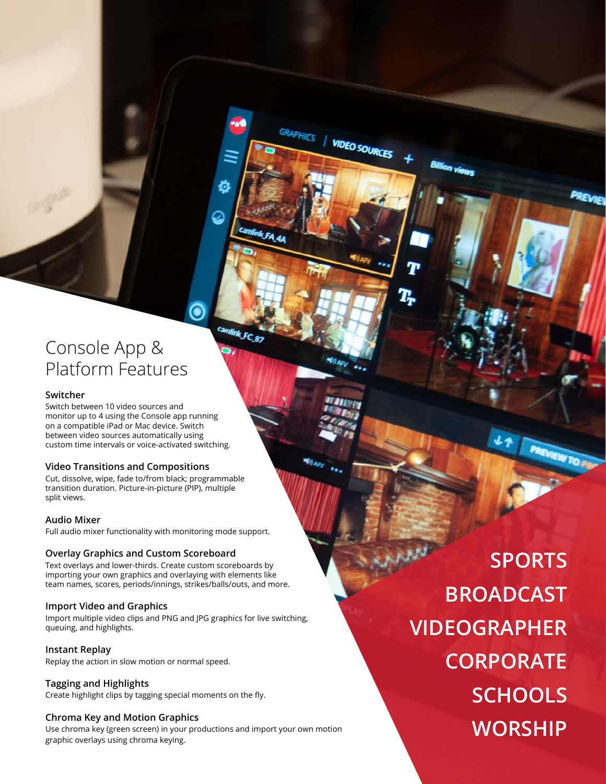## Console App & Platform Features

#### **Switcher**

Switch between 10 video sources and monitor up to 4 using the Console app running on a compatible iPad or Mac device. Switch between video sources automatically using custom time intervals or voice-activated switching.

#### **Video Transitions and Compositions**

Cut, dissolve, wipe, fade to/from black; programmable transition duration. Picture-in-picture (PIP), multiple split views.

#### **Audio Mixer**

Full audio mixer functionality with monitoring mode support.

#### **Overlay Graphics and Custom Scoreboard**

Text overlays and lower-thirds. Create custom scoreboards by importing your own graphics and overlaying with elements like team names, scores, periods/innings, strikes/balls/outs, and more.

#### **Import Video and Graphics**

Import multiple video clips and PNG and JPG graphics for live switching, queuing, and highlights.

GRAPHICS

camlink FC 87

**VIDEO SOURCES** 

 $\gamma_{A_{D}}$ 

**Instant Replay** Replay the action in slow motion or normal speed.

#### **Tagging and Highlights**

Create highlight clips by tagging special moments on the fly.

#### **Chroma Key and Motion Graphics**

Use chroma key (green screen) in your productions and import your own motion graphic overlays using chroma keying.

**BROADCAST WORSHIP SPORTS SCHOOLS CORPORATE VIDEOGRAPHER**

PREVIEW TO PR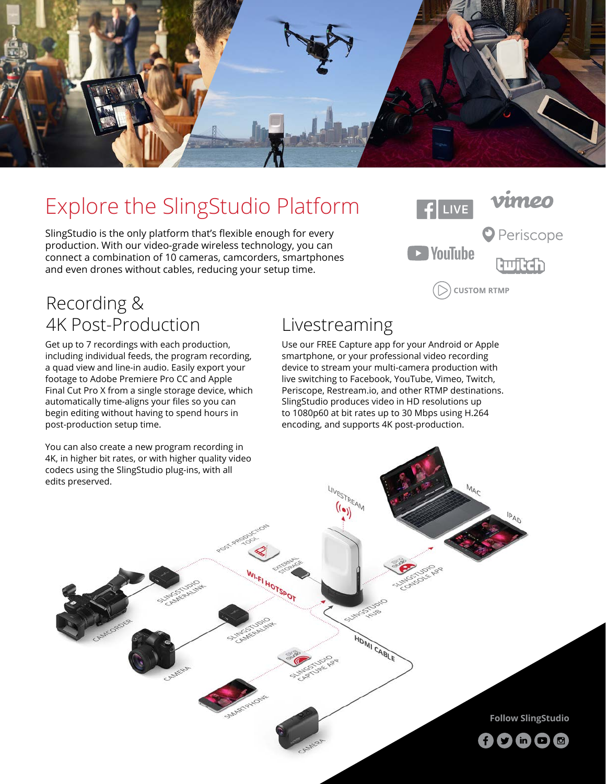

## Explore the SlingStudio Platform

SlingStudio is the only platform that's flexible enough for every production. With our video-grade wireless technology, you can connect a combination of 10 cameras, camcorders, smartphones and even drones without cables, reducing your setup time.



## Recording & 4K Post-Production

Get up to 7 recordings with each production, including individual feeds, the program recording, a quad view and line-in audio. Easily export your footage to Adobe Premiere Pro CC and Apple Final Cut Pro X from a single storage device, which automatically time-aligns your files so you can begin editing without having to spend hours in post-production setup time.

You can also create a new program recording in 4K, in higher bit rates, or with higher quality video codecs using the SlingStudio plug-ins, with all edits preserved.

## Livestreaming

LIVESTREAM  $\binom{(\bullet)}{(\bullet)}$ 

**SE** 

HDMI CABLE

TO42TOH 19-1

Use our FREE Capture app for your Android or Apple smartphone, or your professional video recording device to stream your multi-camera production with live switching to Facebook, YouTube, Vimeo, Twitch, Periscope, Restream.io, and other RTMP destinations. SlingStudio produces video in HD resolutions up to 1080p60 at bit rates up to 30 Mbps using H.264 encoding, and supports 4K post-production.